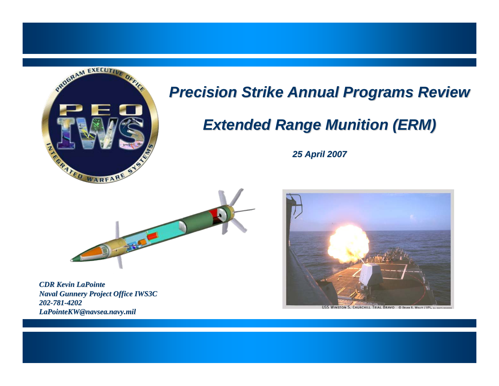

### *Precision Strike Annual Programs Review Precision Strike Annual Programs Review*

## *Extended Range Munition (ERM) Extended Range Munition (ERM)*

*25 April 2007 April 2007*



*CDR Kevin LaPointe LaPointeNaval Gunnery Project Office IWS3C 202-781-4202 LaPointeKW@navsea.navy.mil LaPointeKW@navsea.navy.mil*



USS WINSTON S. CHURCHILL TRIAL BRAVO O BRIAN R. WOLFF / IIPI, ALL PIGHTS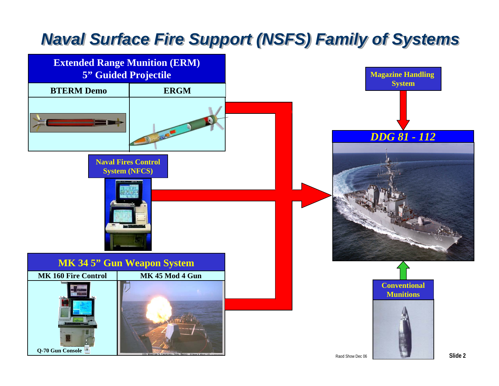## *Naval Surface Fire Support (NSFS) Family of Systems Naval Surface Fire Support (NSFS) Family of Systems Naval Surface Fire Support (NSFS) Family of Systems*

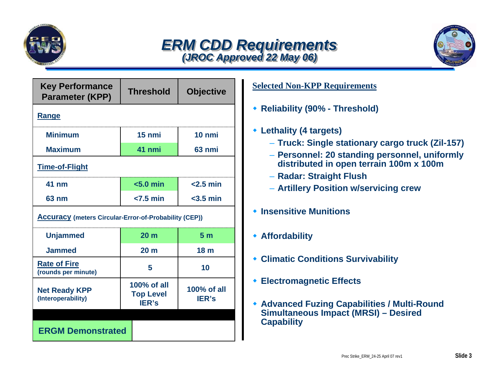

#### *ERM CDD Requirements ERM CDD Requirements ERM CDD Requirements (JROC Approved 22 May 06) (JROC Approved 22 May 06) (JROC Approved 22 May 06)*



| <b>Key Performance</b><br><b>Parameter (KPP)</b>             | <b>Threshold</b>                                | <b>Objective</b>            |  |  |  |
|--------------------------------------------------------------|-------------------------------------------------|-----------------------------|--|--|--|
| <b>Range</b>                                                 |                                                 |                             |  |  |  |
| <b>Minimum</b>                                               | 15 nmi                                          | 10 nmi                      |  |  |  |
| <b>Maximum</b>                                               | 41 nmi                                          | 63 nmi                      |  |  |  |
| <b>Time-of-Flight</b>                                        |                                                 |                             |  |  |  |
| 41 nm                                                        | $< 5.0$ min                                     | $<$ 2.5 min                 |  |  |  |
| 63 nm                                                        | $<$ 7.5 min                                     | $<$ 3.5 min                 |  |  |  |
| <b>Accuracy (meters Circular-Error-of-Probability (CEP))</b> |                                                 |                             |  |  |  |
| <b>Unjammed</b>                                              | 20 <sub>m</sub>                                 | 5 <sub>m</sub>              |  |  |  |
| <b>Jammed</b>                                                | 20 <sub>m</sub>                                 | 18 <sub>m</sub>             |  |  |  |
| <b>Rate of Fire</b><br>(rounds per minute)                   | 5                                               | 10                          |  |  |  |
| <b>Net Ready KPP</b><br>(Interoperability)                   | 100% of all<br><b>Top Level</b><br><b>IER's</b> | 100% of all<br><b>IER's</b> |  |  |  |
| <b>ERGM Demonstrated</b>                                     |                                                 |                             |  |  |  |

#### **Selected Non-KPP Requirements**

- **Reliability (90% - Threshold)**
- **Lethality (4 targets)**
	- **Truck: Single stationary cargo truck (Zil-157)**
	- **Personnel: 20 standing personnel, uniformly distributed in open terrain 100m x 100m**
	- **Radar: Straight Flush**
	- **Artillery Position w/servicing crew**
- **Insensitive Munitions**
- **Affordability**
- **Climatic Conditions Survivability**
- **Electromagnetic Effects**
- **Advanced Fuzing Capabilities / Multi-Round Simultaneous Impact (MRSI) – Desired Capability**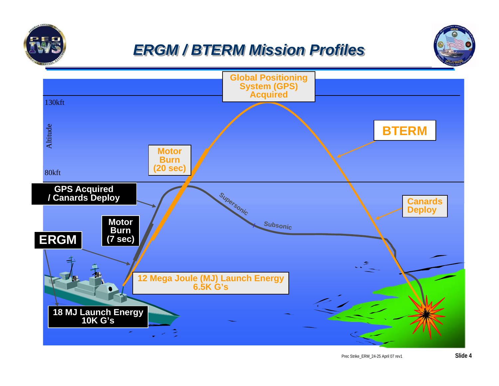

## *ERGM / BTERM Mission Profiles ERGM / BTERM Mission Profiles ERGM / BTERM Mission Profiles*



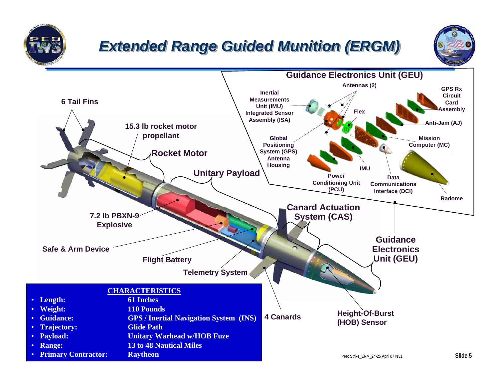

# *Extended Range Guided Munition (ERGM) Extended Range Guided Munition (ERGM) Extended Range Guided Munition (ERGM)*



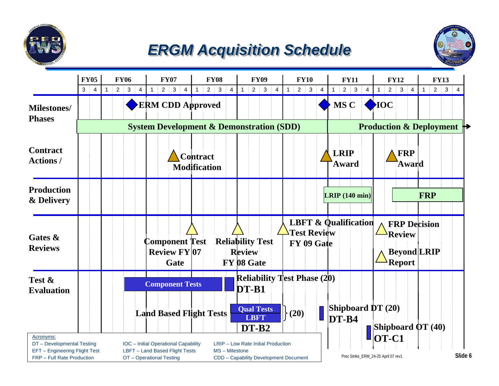

## *ERGM Acquisition Schedule ERGM Acquisition Schedule ERGM Acquisition Schedule*



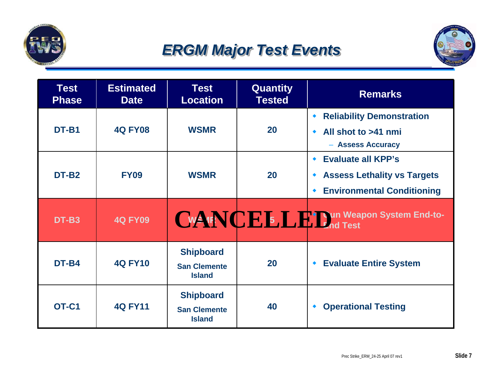

## *ERGM Major Test Events ERGM Major Test Events ERGM Major Test Events*



| <b>Test</b><br><b>Phase</b> | <b>Estimated</b><br><b>Date</b> | <b>Test</b><br><b>Location</b>                           | <b>Quantity</b><br><b>Tested</b> | <b>Remarks</b>                                                                                                                            |
|-----------------------------|---------------------------------|----------------------------------------------------------|----------------------------------|-------------------------------------------------------------------------------------------------------------------------------------------|
| DT-B1                       | <b>4Q FY08</b>                  | <b>WSMR</b>                                              | 20                               | <b>Reliability Demonstration</b><br>۰<br>All shot to >41 nmi<br>$\bullet$<br>- Assess Accuracy                                            |
| DT-B <sub>2</sub>           | <b>FY09</b>                     | <b>WSMR</b>                                              | 20                               | <b>Evaluate all KPP's</b><br>$\blacklozenge$<br><b>Assess Lethality vs Targets</b><br>۰<br><b>Environmental Conditioning</b><br>$\bullet$ |
| DT-B3                       | <b>4Q FY09</b>                  |                                                          |                                  | CWANENCE 5. CHI Cun Weapon System End-to-                                                                                                 |
| DT-B4                       | <b>4Q FY10</b>                  | <b>Shipboard</b><br><b>San Clemente</b><br><b>Island</b> | 20                               | <b>Evaluate Entire System</b><br>$\blacklozenge$                                                                                          |
| OT-C1                       | <b>4Q FY11</b>                  | <b>Shipboard</b><br><b>San Clemente</b><br><b>Island</b> | 40                               | <b>Operational Testing</b><br>۰                                                                                                           |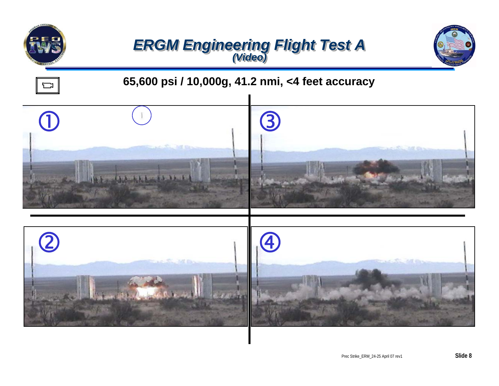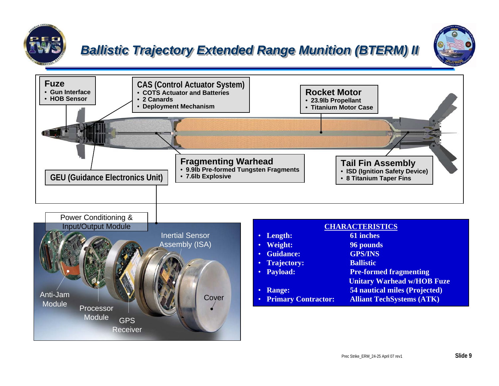

#### **Ballistic Trajectory Extended Range Munition (BTERM) II**



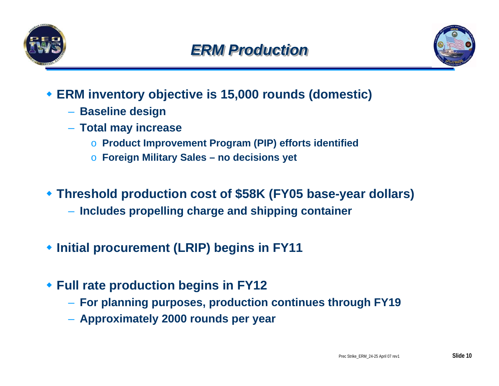



- **ERM inventory objective is 15,000 rounds (domestic)**
	- **Baseline design**
	- **Total may increase**
		- <sup>o</sup>**Product Improvement Program (PIP) efforts identified**
		- <sup>o</sup>**Foreign Military Sales no decisions yet**
- **Threshold production cost of \$58K (FY05 base-year dollars)**
	- **Includes propelling charge and shipping container**
- **Initial procurement (LRIP) begins in FY11**
- **Full rate production begins in FY12**
	- **For planning purposes, production continues through FY19**
	- **Approximately 2000 rounds per year**